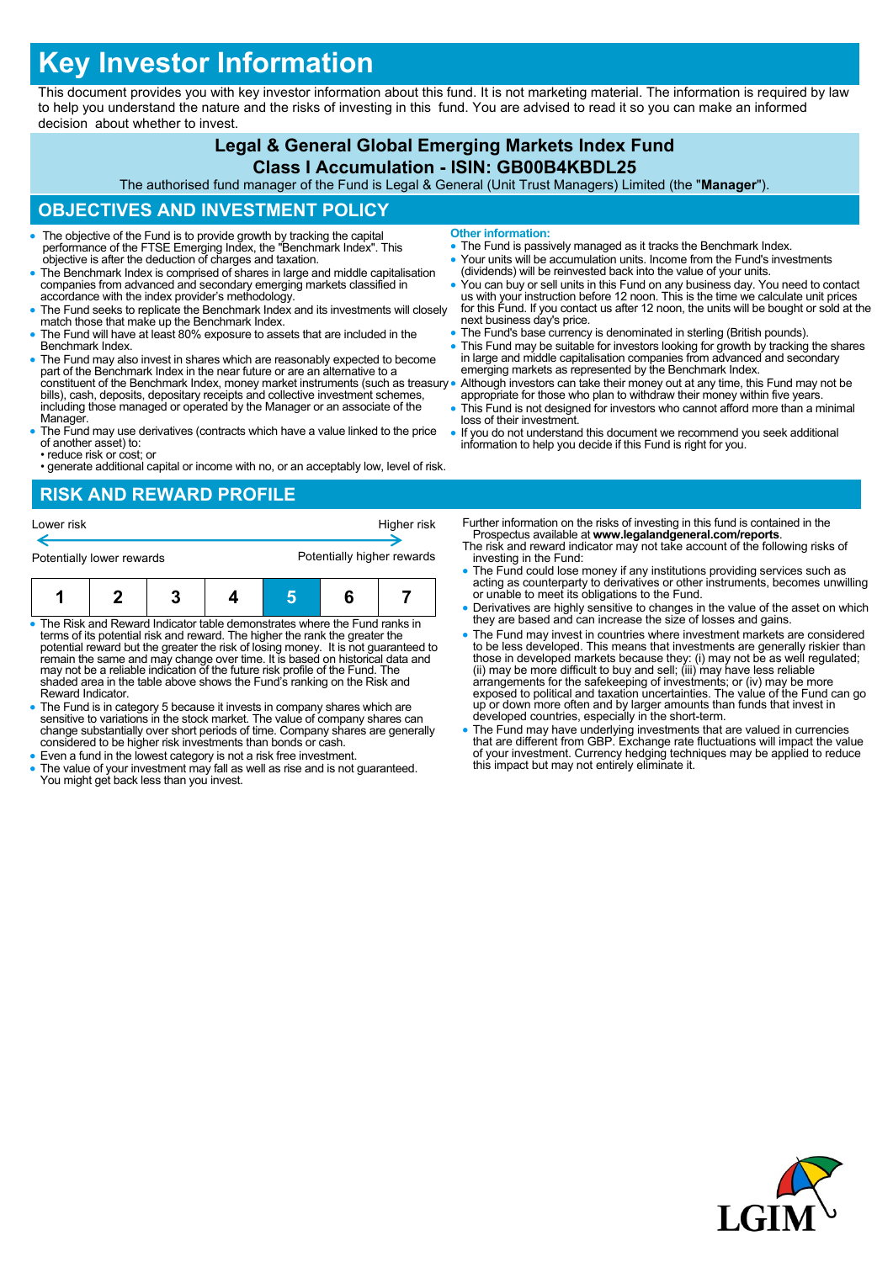# **Key Investor Information**

This document provides you with key investor information about this fund. It is not marketing material. The information is required by law to help you understand the nature and the risks of investing in this fund. You are advised to read it so you can make an informed decision about whether to invest.

# **Legal & General Global Emerging Markets Index Fund**

#### **Class I Accumulation - ISIN: GB00B4KBDL25**

The authorised fund manager of the Fund is Legal & General (Unit Trust Managers) Limited (the "**Manager**").

## **OBJECTIVES AND INVESTMENT POLICY**

- The objective of the Fund is to provide growth by tracking the capital performance of the FTSE Emerging Index, the "Benchmark Index". This objective is after the deduction of charges and taxation.
- The Benchmark Index is comprised of shares in large and middle capitalisation companies from advanced and secondary emerging markets classified in accordance with the index provider's methodology.
- The Fund seeks to replicate the Benchmark Index and its investments will closely match those that make up the Benchmark Index.
- The Fund will have at least 80% exposure to assets that are included in the Benchmark Index.
- The Fund may also invest in shares which are reasonably expected to become part of the Benchmark Index in the near future or are an alternative to a constituent of the Benchmark Index, money market instruments (such as treasury bills), cash, deposits, depositary receipts and collective investment schemes, including those managed or operated by the Manager or an associate of the Manager.
- The Fund may use derivatives (contracts which have a value linked to the price of another asset) to:
- reduce risk or cost; or • generate additional capital or income with no, or an acceptably low, level of risk.

#### **RISK AND REWARD PROFILE**



- The Risk and Reward Indicator table demonstrates where the Fund ranks in terms of its potential risk and reward. The higher the rank the greater the potential reward but the greater the risk of losing money. It is not guaranteed to remain the same and may change over time. It is based on historical data and may not be a reliable indication of the future risk profile of the Fund. The shaded area in the table above shows the Fund's ranking on the Risk and Reward Indicator.
- The Fund is in category 5 because it invests in company shares which are sensitive to variations in the stock market. The value of company shares can change substantially over short periods of time. Company shares are generally considered to be higher risk investments than bonds or cash.
- Even a fund in the lowest category is not a risk free investment.
- The value of your investment may fall as well as rise and is not guaranteed. You might get back less than you invest.
- **Other information:**
- The Fund is passively managed as it tracks the Benchmark Index.
- Your units will be accumulation units. Income from the Fund's investments (dividends) will be reinvested back into the value of your units.
- You can buy or sell units in this Fund on any business day. You need to contact<br>us with your instruction before 12 noon. This is the time we calculate unit prices<br>for this Fund. If you contact us after 12 noon, the units next business day's price.
- The Fund's base currency is denominated in sterling (British pounds).
- This Fund may be suitable for investors looking for growth by tracking the shares in large and middle capitalisation companies from advanced and secondary emerging markets as represented by the Benchmark Index.
- Although investors can take their money out at any time, this Fund may not be appropriate for those who plan to withdraw their money within five years.
- This Fund is not designed for investors who cannot afford more than a minimal loss of their investment.
- If you do not understand this document we recommend you seek additional information to help you decide if this Fund is right for you.

Further information on the risks of investing in this fund is contained in the Prospectus available at **www.legalandgeneral.com/reports**.

- The risk and reward indicator may not take account of the following risks of investing in the Fund:
- The Fund could lose money if any institutions providing services such as acting as counterparty to derivatives or other instruments, becomes unwilling or unable to meet its obligations to the Fund.
- Derivatives are highly sensitive to changes in the value of the asset on which they are based and can increase the size of losses and gains.
- The Fund may invest in countries where investment markets are considered to be less developed. This means that investments are generally riskier than<br>those in developed markets because they: (i) may not be as well regulated;<br>(ii) may be more difficult to buy and sell; (iii) may have less reliab exposed to political and taxation uncertainties. The value of the Fund can go up or down more often and by larger amounts than funds that invest in developed countries, especially in the short-term.
- The Fund may have underlying investments that are valued in currencies that are different from GBP. Exchange rate fluctuations will impact the value of your investment. Currency hedging techniques may be applied to reduce this impact but may not entirely eliminate it.